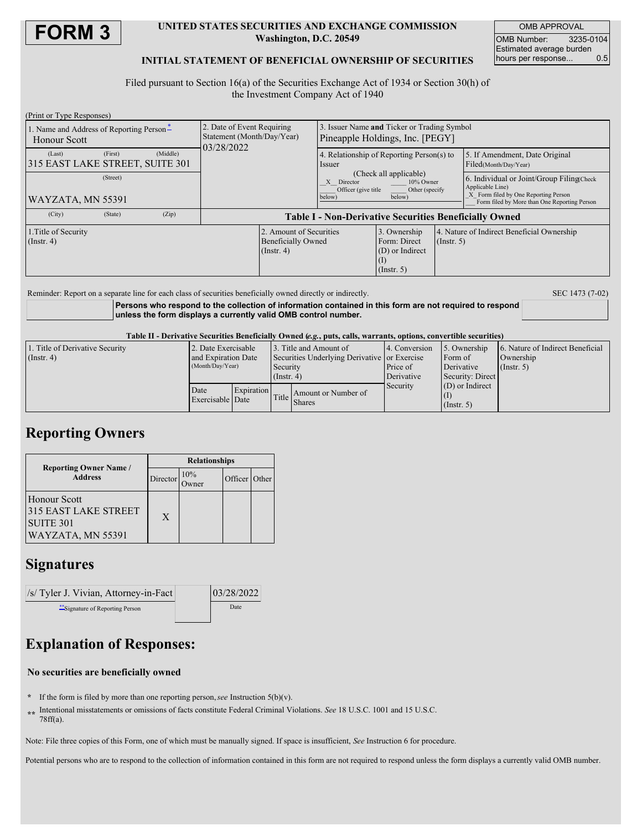

### **UNITED STATES SECURITIES AND EXCHANGE COMMISSION Washington, D.C. 20549**

OMB APPROVAL OMB Number: 3235-0104 Estimated average burden hours per response... 0.5

### **INITIAL STATEMENT OF BENEFICIAL OWNERSHIP OF SECURITIES**

Filed pursuant to Section 16(a) of the Securities Exchange Act of 1934 or Section 30(h) of the Investment Company Act of 1940

| (Print or Type Responses)                                       |         |          |                                                                        |                                                                          |                                                                                                                 |                                                                     |                  |                                                                                                                                                       |  |  |
|-----------------------------------------------------------------|---------|----------|------------------------------------------------------------------------|--------------------------------------------------------------------------|-----------------------------------------------------------------------------------------------------------------|---------------------------------------------------------------------|------------------|-------------------------------------------------------------------------------------------------------------------------------------------------------|--|--|
| 1. Name and Address of Reporting Person-<br><b>Honour Scott</b> |         |          | 2. Date of Event Requiring<br>Statement (Month/Day/Year)<br>03/28/2022 |                                                                          | 3. Issuer Name and Ticker or Trading Symbol<br>Pineapple Holdings, Inc. [PEGY]                                  |                                                                     |                  |                                                                                                                                                       |  |  |
| (Last)<br>315 EAST LAKE STREET, SUITE 301                       | (First) | (Middle) |                                                                        |                                                                          | 4. Relationship of Reporting Person(s) to<br>Issuer                                                             |                                                                     |                  | 5. If Amendment, Date Original<br>Filed(Month/Day/Year)                                                                                               |  |  |
| (Street)<br> WAYZATA, MN 55391                                  |         |          |                                                                        |                                                                          | (Check all applicable)<br>X Director<br>10% Owner<br>Officer (give title)<br>Other (specify<br>below)<br>below) |                                                                     |                  | 6. Individual or Joint/Group Filing(Check<br>Applicable Line)<br>X Form filed by One Reporting Person<br>Form filed by More than One Reporting Person |  |  |
| (City)                                                          | (State) | (Zip)    | <b>Table I - Non-Derivative Securities Beneficially Owned</b>          |                                                                          |                                                                                                                 |                                                                     |                  |                                                                                                                                                       |  |  |
| 1. Title of Security<br>$($ Instr. 4 $)$                        |         |          |                                                                        | 2. Amount of Securities<br><b>Beneficially Owned</b><br>$($ Instr. 4 $)$ |                                                                                                                 | 3. Ownership<br>Form: Direct<br>(D) or Indirect<br>$($ Instr. 5 $)$ | $($ Instr. 5 $)$ | 4. Nature of Indirect Beneficial Ownership                                                                                                            |  |  |
|                                                                 |         |          |                                                                        |                                                                          |                                                                                                                 |                                                                     |                  |                                                                                                                                                       |  |  |

Reminder: Report on a separate line for each class of securities beneficially owned directly or indirectly. SEC 1473 (7-02)

**Persons who respond to the collection of information contained in this form are not required to respond unless the form displays a currently valid OMB control number.**

Table II - Derivative Securities Beneficially Owned (e.g., puts, calls, warrants, options, convertible securities)

| 1. Title of Derivative Security | 2. Date Exercisable |            | 3. Title and Amount of                       |                     | 4. Conversion          | 5. Ownership      | 6. Nature of Indirect Beneficial |
|---------------------------------|---------------------|------------|----------------------------------------------|---------------------|------------------------|-------------------|----------------------------------|
| $($ Instr. 4 $)$                | and Expiration Date |            | Securities Underlying Derivative or Exercise |                     |                        | Form of           | Ownership                        |
|                                 | (Month/Day/Year)    |            | Security                                     |                     | Price of<br>Derivative |                   | (Insert, 5)                      |
|                                 |                     |            | $($ Instr. 4 $)$                             |                     | Derivative             | Security: Direct  |                                  |
|                                 | Date                | Expiration |                                              |                     | Security               | $(D)$ or Indirect |                                  |
|                                 | Exercisable Date    |            | Title                                        | Amount or Number of |                        |                   |                                  |
|                                 |                     |            |                                              | <b>Shares</b>       |                        | $($ Instr. 5 $)$  |                                  |

### **Reporting Owners**

|                                                                               | <b>Relationships</b> |                   |               |  |  |  |
|-------------------------------------------------------------------------------|----------------------|-------------------|---------------|--|--|--|
| <b>Reporting Owner Name</b> /<br><b>Address</b>                               | Director             | 10%<br>-<br>)wner | Officer Other |  |  |  |
| Honour Scott<br>315 EAST LAKE STREET<br><b>SUITE 301</b><br>WAYZATA, MN 55391 | X                    |                   |               |  |  |  |

## **Signatures**



# **Explanation of Responses:**

### **No securities are beneficially owned**

**\*** If the form is filed by more than one reporting person,*see* Instruction 5(b)(v).

**\*\*** Intentional misstatements or omissions of facts constitute Federal Criminal Violations. *See* 18 U.S.C. 1001 and 15 U.S.C. 78ff(a).

Note: File three copies of this Form, one of which must be manually signed. If space is insufficient, *See* Instruction 6 for procedure.

Potential persons who are to respond to the collection of information contained in this form are not required to respond unless the form displays a currently valid OMB number.